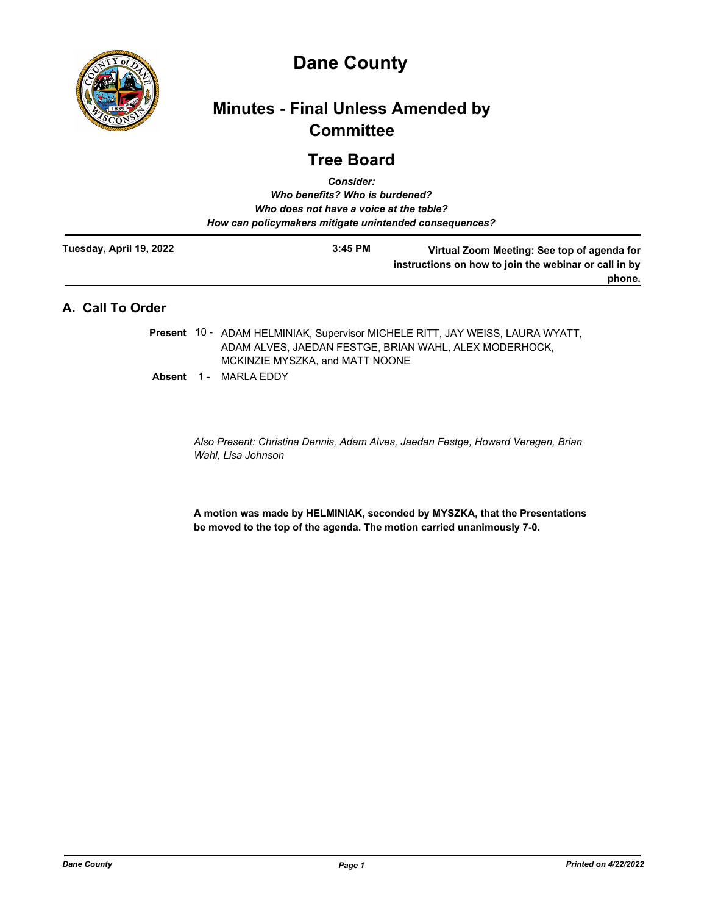

# **Dane County**

# **Minutes - Final Unless Amended by Committee**

# **Tree Board**

| <b>Consider:</b><br>Who benefits? Who is burdened?<br>Who does not have a voice at the table?<br>How can policymakers mitigate unintended consequences? |           |                                                                                                                                         |
|---------------------------------------------------------------------------------------------------------------------------------------------------------|-----------|-----------------------------------------------------------------------------------------------------------------------------------------|
| Tuesday, April 19, 2022                                                                                                                                 | $3:45$ PM | Virtual Zoom Meeting: See top of agenda for<br>instructions on how to join the webinar or call in by<br>phone.                          |
| A. Call To Order                                                                                                                                        |           |                                                                                                                                         |
|                                                                                                                                                         |           | Present 10 - ADAM HELMINIAK, Supervisor MICHELE RITT, JAY WEISS, LAURA WYATT,<br>ADAM ALVES. JAEDAN FESTGE. BRIAN WAHL. ALEX MODERHOCK. |

MCKINZIE MYSZKA, and MATT NOONE

Absent 1 - MARLA EDDY

*Also Present: Christina Dennis, Adam Alves, Jaedan Festge, Howard Veregen, Brian Wahl, Lisa Johnson*

**A motion was made by HELMINIAK, seconded by MYSZKA, that the Presentations be moved to the top of the agenda. The motion carried unanimously 7-0.**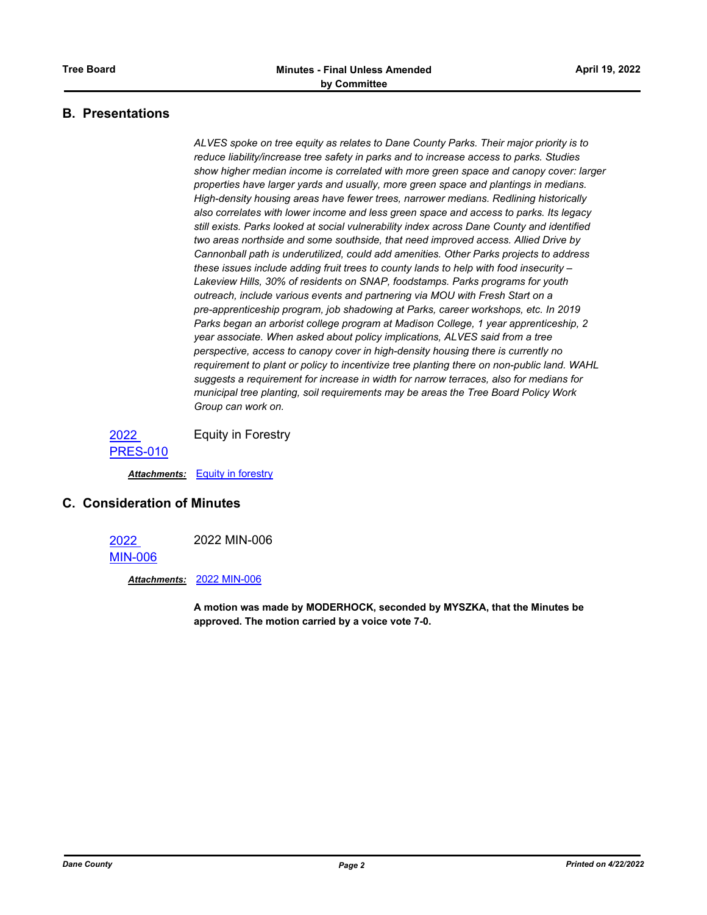## **B. Presentations**

*ALVES spoke on tree equity as relates to Dane County Parks. Their major priority is to reduce liability/increase tree safety in parks and to increase access to parks. Studies show higher median income is correlated with more green space and canopy cover: larger properties have larger yards and usually, more green space and plantings in medians. High-density housing areas have fewer trees, narrower medians. Redlining historically also correlates with lower income and less green space and access to parks. Its legacy still exists. Parks looked at social vulnerability index across Dane County and identified two areas northside and some southside, that need improved access. Allied Drive by Cannonball path is underutilized, could add amenities. Other Parks projects to address these issues include adding fruit trees to county lands to help with food insecurity – Lakeview Hills, 30% of residents on SNAP, foodstamps. Parks programs for youth outreach, include various events and partnering via MOU with Fresh Start on a pre-apprenticeship program, job shadowing at Parks, career workshops, etc. In 2019 Parks began an arborist college program at Madison College, 1 year apprenticeship, 2 year associate. When asked about policy implications, ALVES said from a tree perspective, access to canopy cover in high-density housing there is currently no requirement to plant or policy to incentivize tree planting there on non-public land. WAHL suggests a requirement for increase in width for narrow terraces, also for medians for municipal tree planting, soil requirements may be areas the Tree Board Policy Work Group can work on.*

2022 [PRES-010](http://dane.legistar.com/gateway.aspx?m=l&id=/matter.aspx?key=22734) Equity in Forestry

*Attachments:* [Equity in forestry](http://dane.legistar.com/gateway.aspx?M=F&ID=f760aff0-013f-4fb1-b3bb-b3d8d3771248.pdf)

#### **C. Consideration of Minutes**

2022 2022 MIN-006

[MIN-006](http://dane.legistar.com/gateway.aspx?m=l&id=/matter.aspx?key=22700)

*Attachments:* [2022 MIN-006](http://dane.legistar.com/gateway.aspx?M=F&ID=cc85daaf-066a-4439-948c-02a4101d4c66.pdf)

**A motion was made by MODERHOCK, seconded by MYSZKA, that the Minutes be approved. The motion carried by a voice vote 7-0.**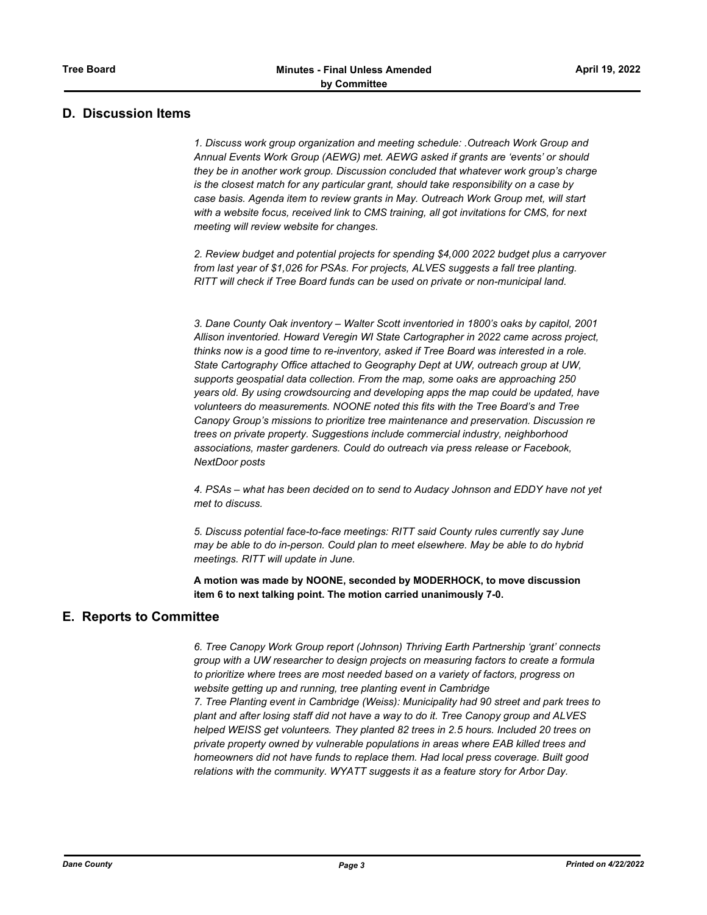## **D. Discussion Items**

*1. Discuss work group organization and meeting schedule: .Outreach Work Group and Annual Events Work Group (AEWG) met. AEWG asked if grants are 'events' or should they be in another work group. Discussion concluded that whatever work group's charge is the closest match for any particular grant, should take responsibility on a case by case basis. Agenda item to review grants in May. Outreach Work Group met, will start with a website focus, received link to CMS training, all got invitations for CMS, for next meeting will review website for changes.* 

*2. Review budget and potential projects for spending \$4,000 2022 budget plus a carryover from last year of \$1,026 for PSAs. For projects, ALVES suggests a fall tree planting. RITT will check if Tree Board funds can be used on private or non-municipal land.*

*3. Dane County Oak inventory – Walter Scott inventoried in 1800's oaks by capitol, 2001 Allison inventoried. Howard Veregin WI State Cartographer in 2022 came across project, thinks now is a good time to re-inventory, asked if Tree Board was interested in a role. State Cartography Office attached to Geography Dept at UW, outreach group at UW, supports geospatial data collection. From the map, some oaks are approaching 250 years old. By using crowdsourcing and developing apps the map could be updated, have volunteers do measurements. NOONE noted this fits with the Tree Board's and Tree Canopy Group's missions to prioritize tree maintenance and preservation. Discussion re trees on private property. Suggestions include commercial industry, neighborhood associations, master gardeners. Could do outreach via press release or Facebook, NextDoor posts*

*4. PSAs – what has been decided on to send to Audacy Johnson and EDDY have not yet met to discuss.*

*5. Discuss potential face-to-face meetings: RITT said County rules currently say June may be able to do in-person. Could plan to meet elsewhere. May be able to do hybrid meetings. RITT will update in June.*

**A motion was made by NOONE, seconded by MODERHOCK, to move discussion item 6 to next talking point. The motion carried unanimously 7-0.**

## **E. Reports to Committee**

*6. Tree Canopy Work Group report (Johnson) Thriving Earth Partnership 'grant' connects group with a UW researcher to design projects on measuring factors to create a formula to prioritize where trees are most needed based on a variety of factors, progress on website getting up and running, tree planting event in Cambridge 7. Tree Planting event in Cambridge (Weiss): Municipality had 90 street and park trees to plant and after losing staff did not have a way to do it. Tree Canopy group and ALVES helped WEISS get volunteers. They planted 82 trees in 2.5 hours. Included 20 trees on private property owned by vulnerable populations in areas where EAB killed trees and homeowners did not have funds to replace them. Had local press coverage. Built good relations with the community. WYATT suggests it as a feature story for Arbor Day.*